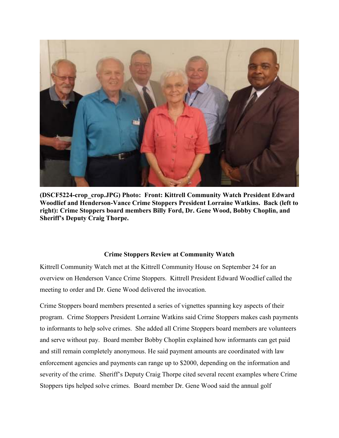

**(DSCF5224-crop\_crop.JPG) Photo: Front: Kittrell Community Watch President Edward Woodlief and Henderson-Vance Crime Stoppers President Lorraine Watkins. Back (left to right): Crime Stoppers board members Billy Ford, Dr. Gene Wood, Bobby Choplin, and Sheriff's Deputy Craig Thorpe.** 

## **Crime Stoppers Review at Community Watch**

Kittrell Community Watch met at the Kittrell Community House on September 24 for an overview on Henderson Vance Crime Stoppers. Kittrell President Edward Woodlief called the meeting to order and Dr. Gene Wood delivered the invocation.

Crime Stoppers board members presented a series of vignettes spanning key aspects of their program. Crime Stoppers President Lorraine Watkins said Crime Stoppers makes cash payments to informants to help solve crimes. She added all Crime Stoppers board members are volunteers and serve without pay. Board member Bobby Choplin explained how informants can get paid and still remain completely anonymous. He said payment amounts are coordinated with law enforcement agencies and payments can range up to \$2000, depending on the information and severity of the crime. Sheriff's Deputy Craig Thorpe cited several recent examples where Crime Stoppers tips helped solve crimes. Board member Dr. Gene Wood said the annual golf